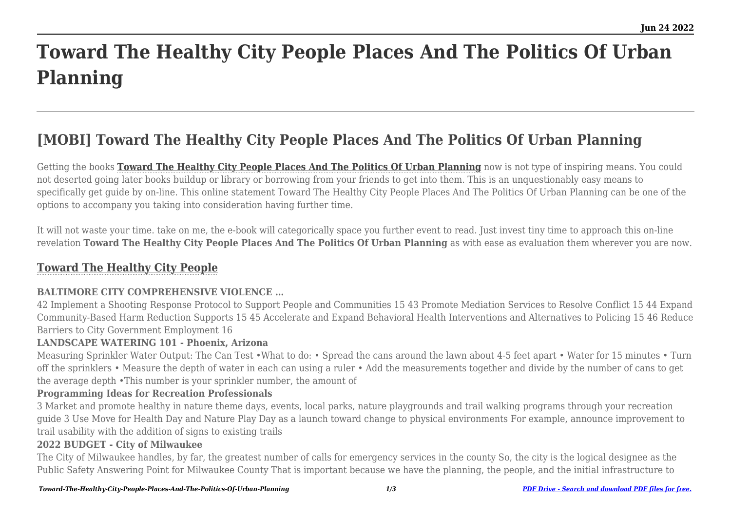# **Toward The Healthy City People Places And The Politics Of Urban Planning**

# **[MOBI] Toward The Healthy City People Places And The Politics Of Urban Planning**

Getting the books **[Toward The Healthy City People Places And The Politics Of Urban Planning](http://theknottedllama.com)** now is not type of inspiring means. You could not deserted going later books buildup or library or borrowing from your friends to get into them. This is an unquestionably easy means to specifically get guide by on-line. This online statement Toward The Healthy City People Places And The Politics Of Urban Planning can be one of the options to accompany you taking into consideration having further time.

It will not waste your time. take on me, the e-book will categorically space you further event to read. Just invest tiny time to approach this on-line revelation **Toward The Healthy City People Places And The Politics Of Urban Planning** as with ease as evaluation them wherever you are now.

# **[Toward The Healthy City People](http://theknottedllama.com/Toward-The-Healthy-City-People-Places-And-The-Politics-Of-Urban-Planning.pdf)**

# **BALTIMORE CITY COMPREHENSIVE VIOLENCE …**

42 Implement a Shooting Response Protocol to Support People and Communities 15 43 Promote Mediation Services to Resolve Conflict 15 44 Expand Community-Based Harm Reduction Supports 15 45 Accelerate and Expand Behavioral Health Interventions and Alternatives to Policing 15 46 Reduce Barriers to City Government Employment 16

# **LANDSCAPE WATERING 101 - Phoenix, Arizona**

Measuring Sprinkler Water Output: The Can Test •What to do: • Spread the cans around the lawn about 4-5 feet apart • Water for 15 minutes • Turn off the sprinklers • Measure the depth of water in each can using a ruler • Add the measurements together and divide by the number of cans to get the average depth •This number is your sprinkler number, the amount of

#### **Programming Ideas for Recreation Professionals**

3 Market and promote healthy in nature theme days, events, local parks, nature playgrounds and trail walking programs through your recreation guide 3 Use Move for Health Day and Nature Play Day as a launch toward change to physical environments For example, announce improvement to trail usability with the addition of signs to existing trails

# **2022 BUDGET - City of Milwaukee**

The City of Milwaukee handles, by far, the greatest number of calls for emergency services in the county So, the city is the logical designee as the Public Safety Answering Point for Milwaukee County That is important because we have the planning, the people, and the initial infrastructure to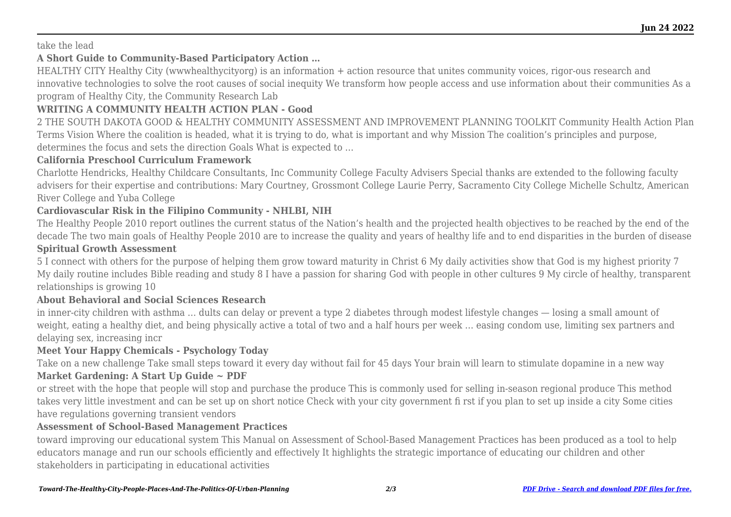#### take the lead

# **A Short Guide to Community-Based Participatory Action …**

HEALTHY CITY Healthy City (wwwhealthycityorg) is an information + action resource that unites community voices, rigor-ous research and innovative technologies to solve the root causes of social inequity We transform how people access and use information about their communities As a program of Healthy City, the Community Research Lab

# **WRITING A COMMUNITY HEALTH ACTION PLAN - Good**

2 THE SOUTH DAKOTA GOOD & HEALTHY COMMUNITY ASSESSMENT AND IMPROVEMENT PLANNING TOOLKIT Community Health Action Plan Terms Vision Where the coalition is headed, what it is trying to do, what is important and why Mission The coalition's principles and purpose, determines the focus and sets the direction Goals What is expected to …

#### **California Preschool Curriculum Framework**

Charlotte Hendricks, Healthy Childcare Consultants, Inc Community College Faculty Advisers Special thanks are extended to the following faculty advisers for their expertise and contributions: Mary Courtney, Grossmont College Laurie Perry, Sacramento City College Michelle Schultz, American River College and Yuba College

# **Cardiovascular Risk in the Filipino Community - NHLBI, NIH**

The Healthy People 2010 report outlines the current status of the Nation's health and the projected health objectives to be reached by the end of the decade The two main goals of Healthy People 2010 are to increase the quality and years of healthy life and to end disparities in the burden of disease

# **Spiritual Growth Assessment**

5 I connect with others for the purpose of helping them grow toward maturity in Christ 6 My daily activities show that God is my highest priority 7 My daily routine includes Bible reading and study 8 I have a passion for sharing God with people in other cultures 9 My circle of healthy, transparent relationships is growing 10

# **About Behavioral and Social Sciences Research**

in inner-city children with asthma … dults can delay or prevent a type 2 diabetes through modest lifestyle changes — losing a small amount of weight, eating a healthy diet, and being physically active a total of two and a half hours per week … easing condom use, limiting sex partners and delaying sex, increasing incr

# **Meet Your Happy Chemicals - Psychology Today**

Take on a new challenge Take small steps toward it every day without fail for 45 days Your brain will learn to stimulate dopamine in a new way **Market Gardening: A Start Up Guide ~ PDF**

or street with the hope that people will stop and purchase the produce This is commonly used for selling in-season regional produce This method takes very little investment and can be set up on short notice Check with your city government fi rst if you plan to set up inside a city Some cities have regulations governing transient vendors

#### **Assessment of School-Based Management Practices**

toward improving our educational system This Manual on Assessment of School-Based Management Practices has been produced as a tool to help educators manage and run our schools efficiently and effectively It highlights the strategic importance of educating our children and other stakeholders in participating in educational activities